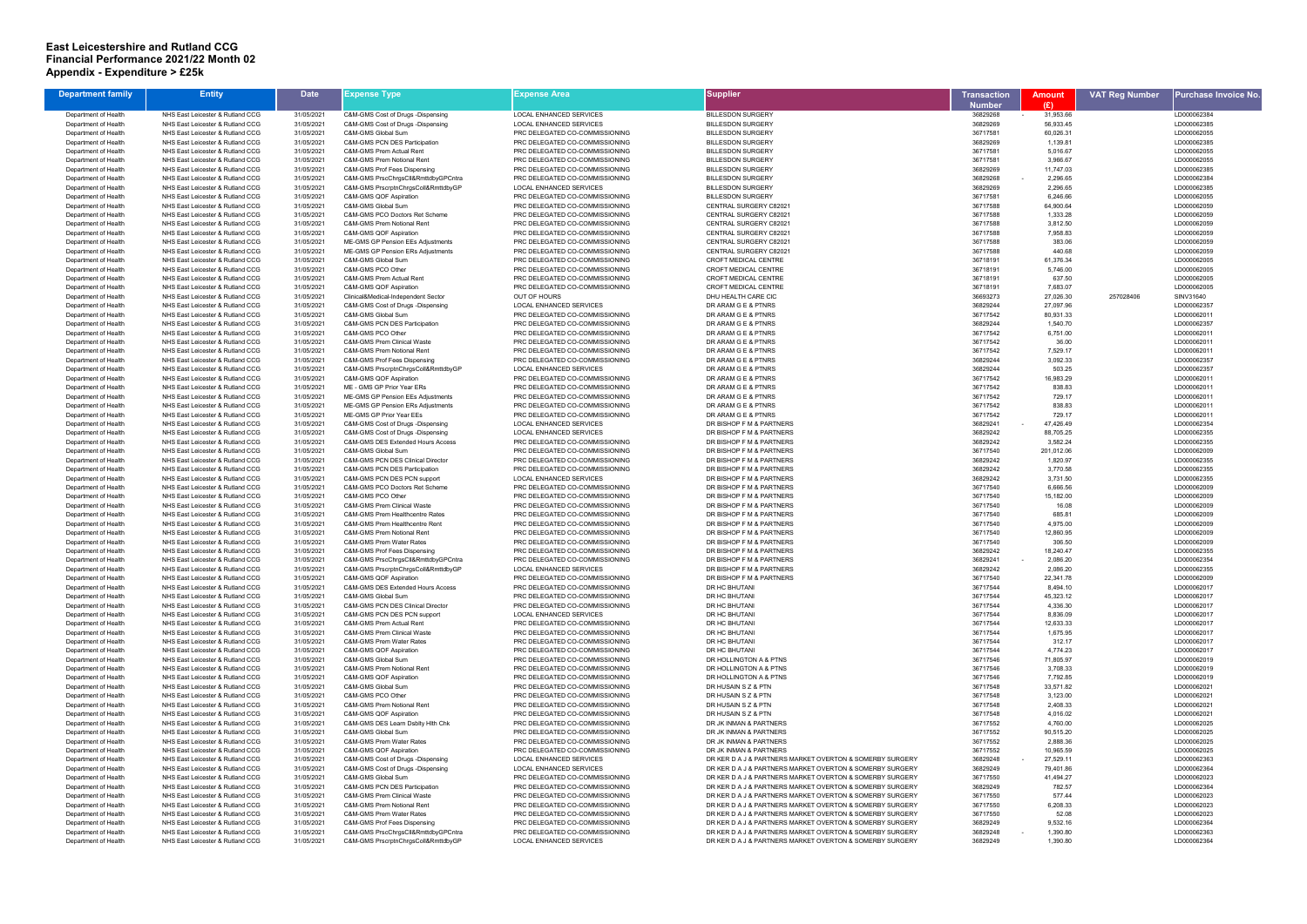## **East Leicestershire and Rutland CCG Financial Performance 2021/22 Month 02 Appendix - Expenditure > £25k**

| <b>Department family</b>                     | <b>Entity</b>                                                        | <b>Date</b>              | Expense Type                                                       | Expense Area                                                     | <b>Supplier</b>                                                                                                      | <b>Transaction</b>   | <b>Amount</b>           | <b>VAT Reg Number</b> | Purchase Invoice No.       |
|----------------------------------------------|----------------------------------------------------------------------|--------------------------|--------------------------------------------------------------------|------------------------------------------------------------------|----------------------------------------------------------------------------------------------------------------------|----------------------|-------------------------|-----------------------|----------------------------|
|                                              |                                                                      |                          |                                                                    |                                                                  |                                                                                                                      | <b>Number</b>        | (E)                     |                       |                            |
| Department of Health                         | NHS East Leicester & Rutland CCG                                     | 31/05/2021               | C&M-GMS Cost of Drugs -Dispensing                                  | LOCAL ENHANCED SERVICES                                          | <b>BILLESDON SURGERY</b>                                                                                             | 36829268             | 31,953.66<br>$\sim$ $-$ |                       | LD000062384                |
| Department of Health<br>Department of Health | NHS East Leicester & Rutland CCG<br>NHS East Leicester & Rutland CCG | 31/05/2021               | C&M-GMS Cost of Drugs -Dispensing<br>C&M-GMS Global Sum            | <b>LOCAL ENHANCED SERVICES</b><br>PRC DELEGATED CO-COMMISSIONING | <b>BILLESDON SURGERY</b><br><b>BILLESDON SURGERY</b>                                                                 | 36829269<br>36717581 | 56.933.45<br>60,026.31  |                       | LD000062385<br>LD000062055 |
| Department of Health                         | NHS East Leicester & Rutland CCG                                     | 31/05/2021<br>31/05/2021 | C&M-GMS PCN DES Participation                                      | PRC DELEGATED CO-COMMISSIONING                                   | <b>BILLESDON SURGERY</b>                                                                                             | 36829269             | 1,139.81                |                       | LD000062385                |
| Department of Health                         | NHS East Leicester & Rutland CCG                                     | 31/05/2021               | C&M-GMS Prem Actual Rent                                           | PRC DELEGATED CO-COMMISSIONING                                   | <b>BILLESDON SURGERY</b>                                                                                             | 36717581             | 5,016.67                |                       | LD000062055                |
| Department of Health                         | NHS East Leicester & Rutland CCG                                     | 31/05/2021               | C&M-GMS Prem Notional Rent                                         | PRC DELEGATED CO-COMMISSIONING                                   | <b>BILLESDON SURGERY</b>                                                                                             | 36717581             | 3,966.67                |                       | LD000062055                |
| Department of Health                         | NHS East Leicester & Rutland CCG                                     | 31/05/2021               | C&M-GMS Prof Fees Dispensing                                       | PRC DELEGATED CO-COMMISSIONING                                   | <b>BILLESDON SURGERY</b>                                                                                             | 36829269             | 11,747.03               |                       | LD000062385                |
| Department of Health                         | NHS East Leicester & Rutland CCG                                     | 31/05/2021               | C&M-GMS PrscChrgsCll&RmttdbyGPCntra                                | PRC DELEGATED CO-COMMISSIONING                                   | <b>BILLESDON SURGERY</b>                                                                                             | 36829268             | 2,296.65                |                       | LD000062384                |
| Department of Health                         | NHS East Leicester & Rutland CCG                                     | 31/05/2021               | C&M-GMS PrscrptnChrgsColl&RmttdbyGP                                | LOCAL ENHANCED SERVICES                                          | <b>BILLESDON SURGERY</b>                                                                                             | 36829269             | 2,296.65                |                       | LD000062385                |
| Department of Health<br>Department of Health | NHS East Leicester & Rutland CCG<br>NHS East Leicester & Rutland CCG | 31/05/2021<br>31/05/2021 | C&M-GMS QOF Aspiration<br>C&M-GMS Global Sum                       | PRC DELEGATED CO-COMMISSIONING<br>PRC DELEGATED CO-COMMISSIONING | <b>BILLESDON SURGERY</b><br><b>CENTRAL SURGERY C82021</b>                                                            | 36717581<br>36717588 | 6,246.66<br>64,900.64   |                       | LD000062055<br>LD000062059 |
| Department of Health                         | NHS East Leicester & Rutland CCG                                     | 31/05/2021               | C&M-GMS PCO Doctors Ret Scheme                                     | PRC DELEGATED CO-COMMISSIONING                                   | CENTRAL SURGERY C82021                                                                                               | 36717588             | 1,333.28                |                       | LD000062059                |
| Department of Health                         | NHS East Leicester & Rutland CCG                                     | 31/05/2021               | C&M-GMS Prem Notional Rent                                         | PRC DELEGATED CO-COMMISSIONING                                   | CENTRAL SURGERY C82021                                                                                               | 36717588             | 3,812.50                |                       | LD000062059                |
| Department of Health                         | NHS East Leicester & Rutland CCG                                     | 31/05/2021               | C&M-GMS QOF Aspiration                                             | PRC DELEGATED CO-COMMISSIONING                                   | CENTRAL SURGERY C82021                                                                                               | 36717588             | 7,958.83                |                       | LD000062059                |
| Department of Health                         | NHS East Leicester & Rutland CCG                                     | 31/05/2021               | ME-GMS GP Pension EEs Adjustments                                  | PRC DELEGATED CO-COMMISSIONING                                   | CENTRAL SURGERY C82021                                                                                               | 36717588             | 383.06                  |                       | LD000062059                |
| Department of Health                         | NHS East Leicester & Rutland CCG<br>NHS East Leicester & Rutland CCG | 31/05/2021<br>31/05/2021 | ME-GMS GP Pension ERs Adjustments<br>C&M-GMS Global Sum            | PRC DELEGATED CO-COMMISSIONING                                   | CENTRAL SURGERY C82021<br><b>CROFT MEDICAL CENTRE</b>                                                                | 36717588<br>36718191 | 440.68<br>61,376.34     |                       | LD000062059<br>LD000062005 |
| Department of Health<br>Department of Health | NHS East Leicester & Rutland CCG                                     | 31/05/2021               | C&M-GMS PCO Other                                                  | PRC DELEGATED CO-COMMISSIONING<br>PRC DELEGATED CO-COMMISSIONING | CROFT MEDICAL CENTRE                                                                                                 | 36718191             | 5,746.00                |                       | LD000062005                |
| Department of Health                         | NHS East Leicester & Rutland CCG                                     | 31/05/2021               | C&M-GMS Prem Actual Rent                                           | PRC DELEGATED CO-COMMISSIONING                                   | <b>CROFT MEDICAL CENTRE</b>                                                                                          | 36718191             | 637.50                  |                       | LD000062005                |
| Department of Health                         | NHS East Leicester & Rutland CCG                                     | 31/05/2021               | C&M-GMS QOF Aspiration                                             | PRC DELEGATED CO-COMMISSIONING                                   | CROFT MEDICAL CENTRE                                                                                                 | 36718191             | 7,683.07                |                       | LD000062005                |
| Department of Health                         | NHS East Leicester & Rutland CCG                                     | 31/05/2021               | Clinical&Medical-Independent Sector                                | OUT OF HOURS                                                     | DHU HEALTH CARE CIC                                                                                                  | 36693273             | 27,026.30               | 257028406             | SINV31640                  |
| Department of Health                         | NHS East Leicester & Rutland CCG                                     | 31/05/2021               | C&M-GMS Cost of Drugs -Dispensing                                  | <b>LOCAL ENHANCED SERVICES</b>                                   | DR ARAM G E & PTNRS                                                                                                  | 36829244             | 27,097.96               |                       | LD000062357                |
| Department of Health                         | NHS East Leicester & Rutland CCG                                     | 31/05/2021               | C&M-GMS Global Sum<br><b>C&amp;M-GMS PCN DES Participation</b>     | PRC DELEGATED CO-COMMISSIONING                                   | DR ARAM G E & PTNRS                                                                                                  | 36717542             | 80,931.33               |                       | LD00006201                 |
| Department of Health<br>Department of Health | NHS East Leicester & Rutland CCG<br>NHS East Leicester & Rutland CCG | 31/05/2021<br>31/05/2021 | C&M-GMS PCO Other                                                  | PRC DELEGATED CO-COMMISSIONING<br>PRC DELEGATED CO-COMMISSIONING | DR ARAM G E & PTNRS<br>DR ARAM G E & PTNRS                                                                           | 36829244<br>36717542 | 1,540.70<br>6,751.00    |                       | LD000062357<br>LD00006201  |
| Department of Health                         | NHS East Leicester & Rutland CCG                                     | 31/05/2021               | C&M-GMS Prem Clinical Waste                                        | PRC DELEGATED CO-COMMISSIONING                                   | DR ARAM G E & PTNRS                                                                                                  | 36717542             | 36.00                   |                       | LD00006201                 |
| Department of Health                         | NHS East Leicester & Rutland CCG                                     | 31/05/2021               | C&M-GMS Prem Notional Rent                                         | PRC DELEGATED CO-COMMISSIONING                                   | DR ARAM G E & PTNRS                                                                                                  | 36717542             | 7,529.17                |                       | LD00006201                 |
| Department of Health                         | NHS East Leicester & Rutland CCG                                     | 31/05/2021               | C&M-GMS Prof Fees Dispensing                                       | PRC DELEGATED CO-COMMISSIONING                                   | DR ARAM G E & PTNRS                                                                                                  | 36829244             | 3,092.33                |                       | LD000062357                |
| Department of Health                         | NHS East Leicester & Rutland CCG                                     | 31/05/2021               | C&M-GMS PrscrptnChrgsColl&RmttdbyGP                                | <b>LOCAL ENHANCED SERVICES</b>                                   | DR ARAM G E & PTNRS                                                                                                  | 36829244             | 503.25                  |                       | LD000062357                |
| Department of Health                         | NHS East Leicester & Rutland CCG                                     | 31/05/2021               | C&M-GMS QOF Aspiration                                             | PRC DELEGATED CO-COMMISSIONING                                   | DR ARAM G E & PTNRS                                                                                                  | 36717542             | 16,983.29               |                       | LD00006201                 |
| Department of Health<br>Department of Health | NHS East Leicester & Rutland CCG<br>NHS East Leicester & Rutland CCG | 31/05/2021<br>31/05/2021 | ME - GMS GP Prior Year ERs<br>ME-GMS GP Pension EEs Adjustments    | PRC DELEGATED CO-COMMISSIONING<br>PRC DELEGATED CO-COMMISSIONING | DR ARAM G E & PTNRS<br>DR ARAM G E & PTNRS                                                                           | 36717542<br>36717542 | 838.83<br>729.17        |                       | LD00006201<br>LD00006201   |
| Department of Health                         | NHS East Leicester & Rutland CCG                                     | 31/05/2021               | ME-GMS GP Pension ERs Adjustments                                  | PRC DELEGATED CO-COMMISSIONING                                   | DR ARAM G E & PTNRS                                                                                                  | 36717542             | 838.83                  |                       | LD000062011                |
| Department of Health                         | NHS East Leicester & Rutland CCG                                     | 31/05/2021               | ME-GMS GP Prior Year EEs                                           | PRC DELEGATED CO-COMMISSIONING                                   | DR ARAM G E & PTNRS                                                                                                  | 36717542             | 729.17                  |                       | LD00006201                 |
| Department of Health                         | NHS East Leicester & Rutland CCG                                     | 31/05/2021               | C&M-GMS Cost of Drugs -Dispensing                                  | LOCAL ENHANCED SERVICES                                          | DR BISHOP F M & PARTNERS                                                                                             | 36829241             | 47,426.49               |                       | LD000062354                |
| Department of Health                         | NHS East Leicester & Rutland CCG                                     | 31/05/2021               | C&M-GMS Cost of Drugs -Dispensing                                  | <b>LOCAL ENHANCED SERVICES</b>                                   | DR BISHOP F M & PARTNERS                                                                                             | 36829242             | 88,705.25               |                       | LD000062355                |
| Department of Health                         | NHS East Leicester & Rutland CCG                                     | 31/05/2021               | C&M-GMS DES Extended Hours Access                                  | PRC DELEGATED CO-COMMISSIONING                                   | DR BISHOP F M & PARTNERS                                                                                             | 36829242             | 3,582.24                |                       | LD000062355                |
| Department of Health                         | NHS East Leicester & Rutland CCG                                     | 31/05/2021               | C&M-GMS Global Sum                                                 | PRC DELEGATED CO-COMMISSIONING                                   | DR BISHOP F M & PARTNERS<br>DR BISHOP F M & PARTNERS                                                                 | 36717540<br>36829242 | 201,012.06<br>1,820.97  |                       | LD000062009                |
| Department of Health<br>Department of Health | NHS East Leicester & Rutland CCG<br>NHS East Leicester & Rutland CCG | 31/05/2021<br>31/05/2021 | C&M-GMS PCN DES Clinical Director<br>C&M-GMS PCN DES Participation | PRC DELEGATED CO-COMMISSIONING<br>PRC DELEGATED CO-COMMISSIONING | DR BISHOP F M & PARTNERS                                                                                             | 36829242             | 3,770.58                |                       | LD000062355<br>LD000062355 |
| Department of Health                         | NHS East Leicester & Rutland CCG                                     | 31/05/2021               | C&M-GMS PCN DES PCN support                                        | <b>LOCAL ENHANCED SERVICES</b>                                   | DR BISHOP F M & PARTNERS                                                                                             | 36829242             | 3,731.50                |                       | LD000062355                |
| Department of Health                         | NHS East Leicester & Rutland CCG                                     | 31/05/2021               | C&M-GMS PCO Doctors Ret Scheme                                     | PRC DELEGATED CO-COMMISSIONING                                   | DR BISHOP F M & PARTNERS                                                                                             | 36717540             | 6,666.56                |                       | LD000062009                |
| Department of Health                         | NHS East Leicester & Rutland CCG                                     | 31/05/2021               | C&M-GMS PCO Other                                                  | PRC DELEGATED CO-COMMISSIONING                                   | DR BISHOP F M & PARTNERS                                                                                             | 36717540             | 15,182.00               |                       | LD000062009                |
| Department of Health                         | NHS East Leicester & Rutland CCG                                     | 31/05/2021               | C&M-GMS Prem Clinical Waste                                        | PRC DELEGATED CO-COMMISSIONING                                   | DR BISHOP F M & PARTNERS                                                                                             | 36717540             | 16.08                   |                       | LD000062009                |
| Department of Health                         | NHS East Leicester & Rutland CCG                                     | 31/05/2021               | C&M-GMS Prem Healthcentre Rates                                    | PRC DELEGATED CO-COMMISSIONING                                   | DR BISHOP F M & PARTNERS                                                                                             | 36717540             | 685.81                  |                       | LD000062009                |
| Department of Health<br>Department of Health | NHS East Leicester & Rutland CCG<br>NHS East Leicester & Rutland CCG | 31/05/2021<br>31/05/2021 | C&M-GMS Prem Healthcentre Rent<br>C&M-GMS Prem Notional Rent       | PRC DELEGATED CO-COMMISSIONING<br>PRC DELEGATED CO-COMMISSIONING | DR BISHOP F M & PARTNERS<br>DR BISHOP F M & PARTNERS                                                                 | 36717540<br>36717540 | 4,975.00<br>12,860.95   |                       | LD000062009<br>LD000062009 |
| Department of Health                         | NHS East Leicester & Rutland CCG                                     | 31/05/2021               | C&M-GMS Prem Water Rates                                           | PRC DELEGATED CO-COMMISSIONING                                   | DR BISHOP F M & PARTNERS                                                                                             | 36717540             | 306.50                  |                       | LD000062009                |
| Department of Health                         | NHS East Leicester & Rutland CCG                                     | 31/05/2021               | C&M-GMS Prof Fees Dispensing                                       | PRC DELEGATED CO-COMMISSIONING                                   | DR BISHOP F M & PARTNERS                                                                                             | 36829242             | 18,240.47               |                       | LD000062355                |
| Department of Health                         | NHS East Leicester & Rutland CCG                                     | 31/05/2021               | C&M-GMS PrscChrasCll&RmttdbvGPCntra                                | PRC DELEGATED CO-COMMISSIONING                                   | DR BISHOP F M & PARTNERS                                                                                             | 36829241             | 2,086.20                |                       | LD000062354                |
| Department of Health                         | NHS East Leicester & Rutland CCG                                     | 31/05/2021               | C&M-GMS PrscrptnChrgsColl&RmttdbyGP                                | <b>LOCAL ENHANCED SERVICES</b>                                   | DR BISHOP F M & PARTNERS                                                                                             | 36829242             | 2,086.20                |                       | LD000062355                |
| Department of Health                         | NHS East Leicester & Rutland CCG                                     | 31/05/2021               | C&M-GMS QOF Aspiration                                             | PRC DELEGATED CO-COMMISSIONING                                   | DR BISHOP F M & PARTNERS                                                                                             | 36717540             | 22,341.78               |                       | LD000062009                |
| Department of Health                         | NHS East Leicester & Rutland CCG<br>NHS East Leicester & Rutland CCG | 31/05/2021<br>31/05/2021 | C&M-GMS DES Extended Hours Access<br>C&M-GMS Global Sum            | PRC DELEGATED CO-COMMISSIONING<br>PRC DELEGATED CO-COMMISSIONING | DR HC BHUTANI<br>DR HC BHUTANI                                                                                       | 36717544<br>36717544 | 8,494.10<br>45,323.12   |                       | LD000062017<br>LD000062017 |
| Department of Health<br>Department of Health | NHS East Leicester & Rutland CCG                                     | 31/05/2021               | C&M-GMS PCN DES Clinical Director                                  | PRC DELEGATED CO-COMMISSIONING                                   | DR HC BHUTANI                                                                                                        | 36717544             | 4,336.30                |                       | LD000062017                |
| Department of Health                         | NHS East Leicester & Rutland CCG                                     | 31/05/2021               | C&M-GMS PCN DES PCN support                                        | LOCAL ENHANCED SERVICES                                          | DR HC BHUTANI                                                                                                        | 36717544             | 8,836.09                |                       | LD000062017                |
| Department of Health                         | NHS East Leicester & Rutland CCG                                     | 31/05/2021               | C&M-GMS Prem Actual Rent                                           | PRC DELEGATED CO-COMMISSIONING                                   | DR HC BHUTANI                                                                                                        | 36717544             | 12,633.33               |                       | LD000062017                |
| Department of Health                         | NHS East Leicester & Rutland CCG                                     | 31/05/2021               | C&M-GMS Prem Clinical Waste                                        | PRC DELEGATED CO-COMMISSIONING                                   | DR HC BHUTANI                                                                                                        | 36717544             | 1,675.95                |                       | LD000062017                |
| Department of Health                         | NHS East Leicester & Rutland CCG                                     | 31/05/2021               | C&M-GMS Prem Water Rates                                           | PRC DELEGATED CO-COMMISSIONING                                   | DR HC BHUTANI                                                                                                        | 36717544             | 312.17                  |                       | LD000062017                |
| Department of Health                         | NHS East Leicester & Rutland CCG                                     | 31/05/2021<br>31/05/2021 | C&M-GMS QOF Aspiration<br>C&M-GMS Global Sum                       | PRC DELEGATED CO-COMMISSIONING                                   | DR HC BHUTANI                                                                                                        | 36717544<br>36717546 | 4,774.23<br>71,805.97   |                       | LD000062017<br>LD000062019 |
| Department of Health<br>Department of Health | NHS East Leicester & Rutland CCG<br>NHS East Leicester & Rutland CCG | 31/05/2021               | C&M-GMS Prem Notional Rent                                         | PRC DELEGATED CO-COMMISSIONING<br>PRC DELEGATED CO-COMMISSIONING | DR HOLLINGTON A & PTNS<br>DR HOLLINGTON A & PTNS                                                                     | 36717546             | 3,708.33                |                       | LD000062019                |
| Department of Health                         | NHS East Leicester & Rutland CCG                                     | 31/05/2021               | C&M-GMS QOF Aspiration                                             | PRC DELEGATED CO-COMMISSIONING                                   | DR HOLLINGTON A & PTNS                                                                                               | 36717546             | 7,792.85                |                       | LD000062019                |
| Department of Health                         | NHS East Leicester & Rutland CCG                                     | 31/05/2021               | C&M-GMS Global Sum                                                 | PRC DELEGATED CO-COMMISSIONING                                   | DR HUSAIN S Z & PTN                                                                                                  | 36717548             | 33,571.82               |                       | LD000062021                |
| Department of Health                         | NHS East Leicester & Rutland CCG                                     | 31/05/2021               | C&M-GMS PCO Other                                                  | PRC DELEGATED CO-COMMISSIONING                                   | DR HUSAIN S Z & PTN                                                                                                  | 36717548             | 3,123.00                |                       | LD000062021                |
| Department of Health                         | NHS East Leicester & Rutland CCG                                     | 31/05/2021               | C&M-GMS Prem Notional Rent                                         | PRC DELEGATED CO-COMMISSIONING                                   | DR HUSAIN S Z & PTN                                                                                                  | 36717548             | 2,408.33                |                       | LD000062021                |
| Department of Health                         | NHS East Leicester & Rutland CCG                                     | 31/05/2021               | C&M-GMS QOF Aspiration                                             | PRC DELEGATED CO-COMMISSIONING                                   | DR HUSAIN S Z & PTN                                                                                                  | 36717548             | 4,016.02                |                       | LD000062021                |
| Department of Health                         | NHS East Leicester & Rutland CCG                                     | 31/05/2021               | C&M-GMS DES Learn Dsblty Hith Chk<br>C&M-GMS Global Sum            | PRC DELEGATED CO-COMMISSIONING                                   | DR JK INMAN & PARTNERS<br>DR JK INMAN & PARTNERS                                                                     | 36717552<br>36717552 | 4,760.00                |                       | LD000062025                |
| Department of Health<br>Department of Health | NHS East Leicester & Rutland CCG<br>NHS East Leicester & Rutland CCG | 31/05/2021<br>31/05/2021 | C&M-GMS Prem Water Rates                                           | PRC DELEGATED CO-COMMISSIONING<br>PRC DELEGATED CO-COMMISSIONING | DR JK INMAN & PARTNERS                                                                                               | 36717552             | 90,515.20<br>2,888.36   |                       | LD000062025<br>LD000062025 |
| Department of Health                         | NHS East Leicester & Rutland CCG                                     | 31/05/2021               | C&M-GMS QOF Aspiration                                             | PRC DELEGATED CO-COMMISSIONING                                   | DR JK INMAN & PARTNERS                                                                                               | 36717552             | 10,965.59               |                       | LD000062025                |
| Department of Health                         | NHS East Leicester & Rutland CCG                                     | 31/05/2021               | C&M-GMS Cost of Drugs -Dispensing                                  | LOCAL ENHANCED SERVICES                                          | DR KER D A J & PARTNERS MARKET OVERTON & SOMERBY SURGERY                                                             | 36829248             | 27,529.11               |                       | LD000062363                |
| Department of Health                         | NHS East Leicester & Rutland CCG                                     | 31/05/2021               | C&M-GMS Cost of Drugs -Dispensing                                  | LOCAL ENHANCED SERVICES                                          | DR KER D A J & PARTNERS MARKET OVERTON & SOMERBY SURGERY                                                             | 36829249             | 79,401.86               |                       | LD000062364                |
| Department of Health                         | NHS East Leicester & Rutland CCG                                     | 31/05/2021               | C&M-GMS Global Sum                                                 | PRC DELEGATED CO-COMMISSIONING                                   | DR KER D A J & PARTNERS MARKET OVERTON & SOMERBY SURGERY                                                             | 36717550             | 41,494.27               |                       | LD000062023                |
| Department of Health                         | NHS East Leicester & Rutland CCG                                     | 31/05/2021               | <b>C&amp;M-GMS PCN DES Participation</b>                           | PRC DELEGATED CO-COMMISSIONING                                   | DR KER D A J & PARTNERS MARKET OVERTON & SOMERBY SURGERY                                                             | 36829249             | 782.57                  |                       | LD000062364                |
| Department of Health<br>Department of Health | NHS East Leicester & Rutland CCG<br>NHS East Leicester & Rutland CCG | 31/05/2021<br>31/05/2021 | C&M-GMS Prem Clinical Waste<br>C&M-GMS Prem Notional Rent          | PRC DELEGATED CO-COMMISSIONING<br>PRC DELEGATED CO-COMMISSIONING | DR KER D A J & PARTNERS MARKET OVERTON & SOMERBY SURGERY<br>DR KER D A J & PARTNERS MARKET OVERTON & SOMERBY SURGERY | 36717550<br>36717550 | 577.44<br>6,208.33      |                       | LD000062023<br>LD000062023 |
| Department of Health                         | NHS East Leicester & Rutland CCG                                     | 31/05/2021               | C&M-GMS Prem Water Rates                                           | PRC DELEGATED CO-COMMISSIONING                                   | DR KER D A J & PARTNERS MARKET OVERTON & SOMERBY SURGERY                                                             | 36717550             | 52.08                   |                       | LD000062023                |
| Department of Health                         | NHS East Leicester & Rutland CCG                                     | 31/05/2021               | C&M-GMS Prof Fees Dispensing                                       | PRC DELEGATED CO-COMMISSIONING                                   | DR KER D A J & PARTNERS MARKET OVERTON & SOMERBY SURGERY                                                             | 36829249             | 9,532.16                |                       | LD000062364                |
| Department of Health                         | NHS East Leicester & Rutland CCG                                     | 31/05/2021               | C&M-GMS PrscChrgsCll&RmttdbyGPCntra                                | PRC DELEGATED CO-COMMISSIONING                                   | DR KER D A J & PARTNERS MARKET OVERTON & SOMERBY SURGERY                                                             | 36829248             | 1,390.80                |                       | LD000062363                |
| Department of Health                         | NHS East Leicester & Rutland CCG                                     | 31/05/2021               | C&M-GMS PrscrptnChrgsColl&RmttdbyGP                                | <b>LOCAL ENHANCED SERVICES</b>                                   | DR KER D A J & PARTNERS MARKET OVERTON & SOMERBY SURGERY                                                             | 36829249             | 1,390.80                |                       | LD000062364                |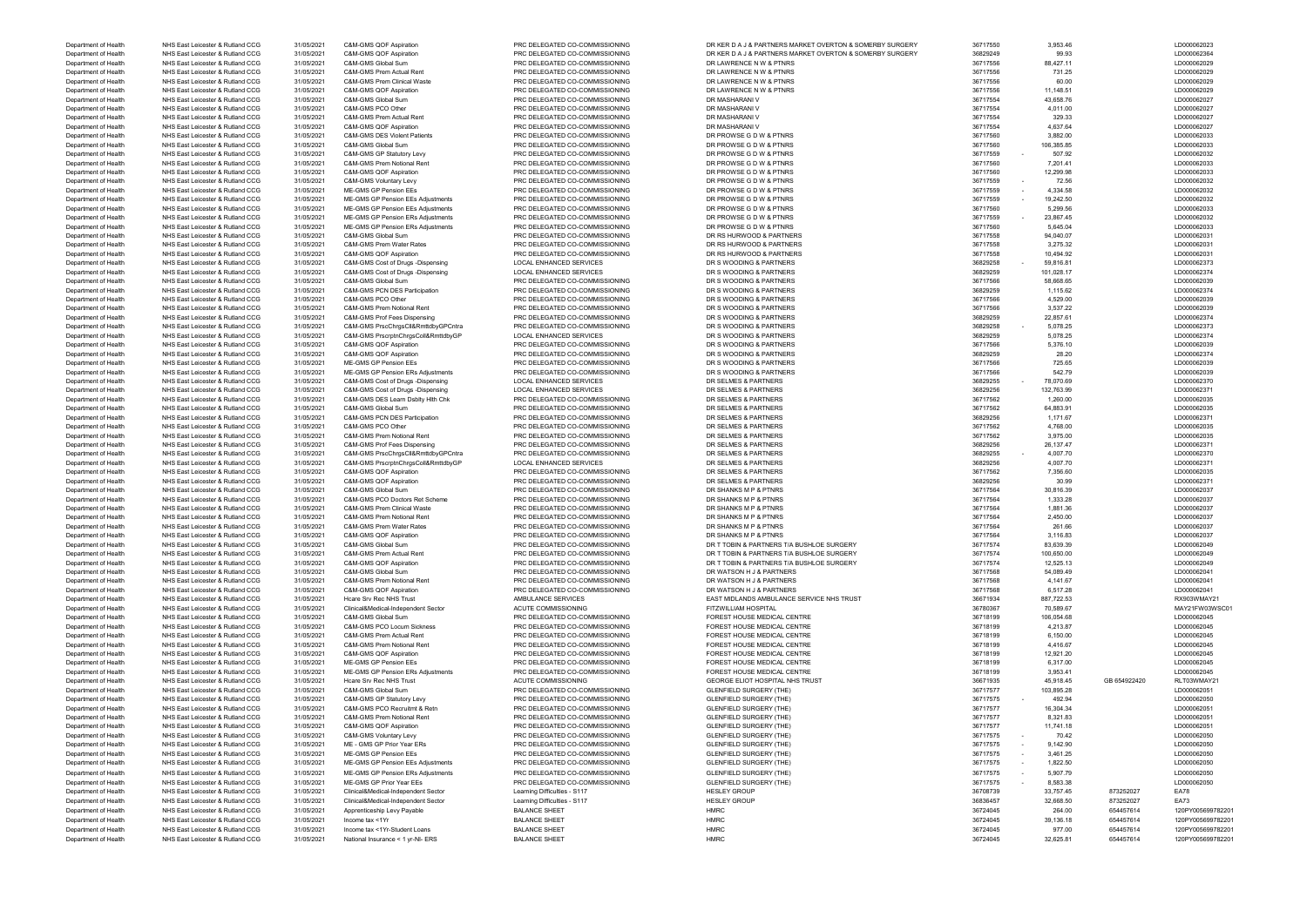| Department of Health                         | NHS East Leicester & Rutland CCG | 31/05/2021 | C&M-GMS QOF Aspiration                   | PRC DELEGATED CO-COMMISSIONING | DR KER D A J & PARTNERS MARKET OVERTON & SOMERBY SURGERY | 36717550 | 3,953.46   |              | LD000062023       |
|----------------------------------------------|----------------------------------|------------|------------------------------------------|--------------------------------|----------------------------------------------------------|----------|------------|--------------|-------------------|
| Department of Health                         | NHS East Leicester & Rutland CCG | 31/05/2021 | C&M-GMS QOF Aspiration                   | PRC DELEGATED CO-COMMISSIONING | DR KER D A J & PARTNERS MARKET OVERTON & SOMERBY SURGERY | 36829249 | 99.93      |              | LD000062364       |
| Department of Health                         | NHS East Leicester & Rutland CCG | 31/05/2021 | C&M-GMS Global Sum                       | PRC DELEGATED CO-COMMISSIONING | DR LAWRENCE N W & PTNRS                                  | 36717556 | 88,427.11  |              | LD000062029       |
| Department of Health                         | NHS East Leicester & Rutland CCG | 31/05/2021 | C&M-GMS Prem Actual Rent                 | PRC DELEGATED CO-COMMISSIONING | DR LAWRENCE N W & PTNRS                                  | 36717556 | 731.25     |              | LD000062029       |
| Department of Health                         |                                  |            |                                          |                                |                                                          |          | 60.00      |              |                   |
|                                              | NHS East Leicester & Rutland CCG | 31/05/2021 | C&M-GMS Prem Clinical Waste              | PRC DELEGATED CO-COMMISSIONING | DR LAWRENCE N W & PTNRS                                  | 36717556 |            |              | LD000062029       |
| Department of Health                         | NHS East Leicester & Rutland CCG | 31/05/2021 | C&M-GMS QOF Aspiration                   | PRC DELEGATED CO-COMMISSIONING | DR LAWRENCE N W & PTNRS                                  | 36717556 | 11,148.51  |              | LD000062029       |
| Department of Health                         | NHS East Leicester & Rutland CCG | 31/05/2021 | C&M-GMS Global Sum                       | PRC DELEGATED CO-COMMISSIONING | DR MASHARANI V                                           | 36717554 | 43,658.76  |              | LD000062027       |
| Department of Health                         | NHS East Leicester & Rutland CCG | 31/05/2021 | C&M-GMS PCO Other                        | PRC DELEGATED CO-COMMISSIONING | DR MASHARANI \                                           | 36717554 | 4,011.00   |              | LD000062027       |
| Department of Health                         | NHS East Leicester & Rutland CCG | 31/05/2021 | C&M-GMS Prem Actual Rent                 | PRC DELEGATED CO-COMMISSIONING | DR MASHARANI V                                           | 36717554 | 329.33     |              | LD000062027       |
| Department of Health                         | NHS East Leicester & Rutland CCG | 31/05/2021 | C&M-GMS QOF Aspiration                   | PRC DELEGATED CO-COMMISSIONING | DR MASHARANI V                                           | 36717554 | 4,637.64   |              | LD000062027       |
| Department of Health                         | NHS East Leicester & Rutland CCG | 31/05/2021 | <b>C&amp;M-GMS DES Violent Patients</b>  | PRC DELEGATED CO-COMMISSIONING | DR PROWSE G D W & PTNRS                                  | 36717560 | 3,882.00   |              | LD000062033       |
|                                              |                                  |            |                                          |                                |                                                          |          |            |              |                   |
| Department of Health                         | NHS East Leicester & Rutland CCG | 31/05/2021 | C&M-GMS Global Sum                       | PRC DELEGATED CO-COMMISSIONING | DR PROWSE G D W & PTNRS                                  | 36717560 | 106,385.85 |              | LD000062033       |
| Department of Health                         | NHS East Leicester & Rutland CCG | 31/05/2021 | C&M-GMS GP Statutory Levy                | PRC DELEGATED CO-COMMISSIONING | DR PROWSE G D W & PTNRS                                  | 36717559 | 507.92     |              | LD000062032       |
| Department of Health                         | NHS East Leicester & Rutland CCG | 31/05/2021 | C&M-GMS Prem Notional Rent               | PRC DELEGATED CO-COMMISSIONING | DR PROWSE G D W & PTNRS                                  | 36717560 | 7,201.41   |              | LD000062033       |
| Department of Health                         | NHS East Leicester & Rutland CCG | 31/05/2021 | C&M-GMS QOF Aspiration                   | PRC DELEGATED CO-COMMISSIONING | DR PROWSE G D W & PTNRS                                  | 36717560 | 12,299.98  |              | LD000062033       |
| Department of Health                         | NHS East Leicester & Rutland CCG | 31/05/2021 | C&M-GMS Voluntary Levy                   | PRC DELEGATED CO-COMMISSIONING | DR PROWSE G D W & PTNRS                                  | 36717559 | 72.56      |              | LD000062032       |
| Department of Health                         | NHS East Leicester & Rutland CCG | 31/05/2021 | ME-GMS GP Pension EEs                    | PRC DELEGATED CO-COMMISSIONING | DR PROWSE G D W & PTNRS                                  | 36717559 | 4,334.58   |              | LD000062032       |
|                                              |                                  |            | ME-GMS GP Pension EEs Adjustments        |                                |                                                          | 36717559 | 19,242.50  |              | LD000062032       |
| Department of Health                         | NHS East Leicester & Rutland CCG | 31/05/2021 |                                          | PRC DELEGATED CO-COMMISSIONING | DR PROWSE G D W & PTNRS                                  |          |            |              |                   |
| Department of Health                         | NHS East Leicester & Rutland CCG | 31/05/2021 | ME-GMS GP Pension EEs Adjustments        | PRC DELEGATED CO-COMMISSIONING | DR PROWSE G D W & PTNRS                                  | 36717560 | 5,299.56   |              | LD000062033       |
| Department of Health                         | NHS East Leicester & Rutland CCG | 31/05/2021 | ME-GMS GP Pension ERs Adjustments        | PRC DELEGATED CO-COMMISSIONING | DR PROWSE G D W & PTNRS                                  | 36717559 | 23,867.45  |              | LD000062032       |
| Department of Health                         | NHS East Leicester & Rutland CCG | 31/05/2021 | ME-GMS GP Pension ERs Adjustments        | PRC DELEGATED CO-COMMISSIONING | DR PROWSE G D W & PTNRS                                  | 36717560 | 5,645.04   |              | LD000062033       |
| Department of Health                         | NHS East Leicester & Rutland CCG | 31/05/2021 | C&M-GMS Global Sum                       | PRC DELEGATED CO-COMMISSIONING | DR RS HURWOOD & PARTNERS                                 | 36717558 | 94,040.07  |              | LD000062031       |
| Department of Health                         | NHS East Leicester & Rutland CCG | 31/05/2021 | C&M-GMS Prem Water Rates                 | PRC DELEGATED CO-COMMISSIONING | DR RS HURWOOD & PARTNERS                                 | 36717558 | 3,275.32   |              | LD000062031       |
|                                              | NHS East Leicester & Rutland CCG |            | C&M-GMS QOF Aspiration                   | PRC DELEGATED CO-COMMISSIONING | DR RS HURWOOD & PARTNERS                                 |          | 10,494.92  |              |                   |
| Department of Health                         |                                  | 31/05/2021 |                                          |                                |                                                          | 36717558 |            |              | LD000062031       |
| Department of Health                         | NHS East Leicester & Rutland CCG | 31/05/2021 | C&M-GMS Cost of Drugs -Dispensing        | <b>LOCAL ENHANCED SERVICES</b> | DR S WOODING & PARTNERS                                  | 36829258 | 59,816.81  |              | LD000062373       |
| Department of Health                         | NHS East Leicester & Rutland CCG | 31/05/2021 | C&M-GMS Cost of Drugs -Dispensing        | <b>LOCAL ENHANCED SERVICES</b> | DR S WOODING & PARTNERS                                  | 36829259 | 101,028.17 |              | LD000062374       |
| Department of Health                         | NHS East Leicester & Rutland CCG | 31/05/2021 | C&M-GMS Global Sum                       | PRC DELEGATED CO-COMMISSIONING | DR S WOODING & PARTNERS                                  | 36717566 | 58,668.65  |              | LD000062039       |
| Department of Health                         | NHS East Leicester & Rutland CCG | 31/05/2021 | <b>C&amp;M-GMS PCN DES Participation</b> | PRC DELEGATED CO-COMMISSIONING | DR S WOODING & PARTNERS                                  | 36829259 | 1,115.62   |              | LD000062374       |
|                                              | NHS East Leicester & Rutland CCG | 31/05/2021 | C&M-GMS PCO Other                        | PRC DELEGATED CO-COMMISSIONING | DR S WOODING & PARTNERS                                  | 36717566 | 4,529.00   |              | LD000062039       |
| Department of Health                         |                                  |            |                                          |                                |                                                          |          |            |              |                   |
| Department of Health                         | NHS East Leicester & Rutland CCG | 31/05/2021 | C&M-GMS Prem Notional Rent               | PRC DELEGATED CO-COMMISSIONING | DR S WOODING & PARTNERS                                  | 36717566 | 3,537.22   |              | LD000062039       |
| Department of Health                         | NHS East Leicester & Rutland CCG | 31/05/2021 | C&M-GMS Prof Fees Dispensing             | PRC DELEGATED CO-COMMISSIONING | DR S WOODING & PARTNERS                                  | 36829259 | 22,857.61  |              | LD000062374       |
| Department of Health                         | NHS East Leicester & Rutland CCG | 31/05/2021 | C&M-GMS PrscChrgsCll&RmttdbyGPCntra      | PRC DELEGATED CO-COMMISSIONING | DR S WOODING & PARTNERS                                  | 36829258 | 5,078.25   |              | LD000062373       |
| Department of Health                         | NHS East Leicester & Rutland CCG | 31/05/2021 | C&M-GMS PrscrptnChrgsColl&RmttdbyGP      | LOCAL ENHANCED SERVICES        | DR S WOODING & PARTNERS                                  | 36829259 | 5,078.25   |              | LD000062374       |
| Department of Health                         | NHS East Leicester & Rutland CCG | 31/05/2021 | C&M-GMS QOF Aspiration                   | PRC DELEGATED CO-COMMISSIONING | DR S WOODING & PARTNERS                                  | 36717566 | 5,376.10   |              | LD000062039       |
|                                              |                                  |            |                                          |                                |                                                          |          |            |              |                   |
| Department of Health                         | NHS East Leicester & Rutland CCG | 31/05/2021 | C&M-GMS QOF Aspiration                   | PRC DELEGATED CO-COMMISSIONING | DR S WOODING & PARTNERS                                  | 36829259 | 28.20      |              | LD000062374       |
| Department of Health                         | NHS East Leicester & Rutland CCG | 31/05/2021 | ME-GMS GP Pension EEs                    | PRC DELEGATED CO-COMMISSIONING | DR S WOODING & PARTNERS                                  | 36717566 | 725.65     |              | LD000062039       |
| Department of Health                         | NHS East Leicester & Rutland CCG | 31/05/2021 | ME-GMS GP Pension ERs Adjustments        | PRC DELEGATED CO-COMMISSIONING | DR S WOODING & PARTNERS                                  | 36717566 | 542.79     |              | LD000062039       |
| Department of Health                         | NHS East Leicester & Rutland CCG | 31/05/2021 | C&M-GMS Cost of Drugs -Dispensing        | <b>LOCAL ENHANCED SERVICES</b> | DR SELMES & PARTNERS                                     | 36829255 | 78,070.69  |              | LD000062370       |
| Department of Health                         | NHS East Leicester & Rutland CCG | 31/05/2021 | C&M-GMS Cost of Drugs -Dispensing        | LOCAL ENHANCED SERVICES        | DR SELMES & PARTNERS                                     | 36829256 | 132,763.99 |              | LD000062371       |
|                                              |                                  |            |                                          |                                |                                                          |          |            |              |                   |
| Department of Health                         | NHS East Leicester & Rutland CCG | 31/05/2021 | C&M-GMS DES Learn Dsblty Hith Chk        | PRC DELEGATED CO-COMMISSIONING | DR SELMES & PARTNERS                                     | 36717562 | 1,260.00   |              | LD000062035       |
| Department of Health                         | NHS East Leicester & Rutland CCG | 31/05/2021 | C&M-GMS Global Sum                       | PRC DELEGATED CO-COMMISSIONING | DR SELMES & PARTNERS                                     | 36717562 | 64,883.91  |              | LD000062035       |
| Department of Health                         | NHS East Leicester & Rutland CCG | 31/05/2021 | C&M-GMS PCN DES Participation            | PRC DELEGATED CO-COMMISSIONING | DR SELMES & PARTNERS                                     | 36829256 | 1,171.67   |              | LD000062371       |
| Department of Health                         | NHS East Leicester & Rutland CCG | 31/05/2021 | C&M-GMS PCO Other                        | PRC DELEGATED CO-COMMISSIONING | DR SELMES & PARTNERS                                     | 36717562 | 4,768.00   |              | LD000062035       |
| Department of Health                         | NHS East Leicester & Rutland CCG | 31/05/2021 | C&M-GMS Prem Notional Rent               | PRC DELEGATED CO-COMMISSIONING | DR SELMES & PARTNERS                                     | 36717562 | 3,975.00   |              | LD000062035       |
| Department of Health                         | NHS East Leicester & Rutland CCG | 31/05/2021 | C&M-GMS Prof Fees Dispensing             | PRC DELEGATED CO-COMMISSIONING | DR SELMES & PARTNERS                                     | 36829256 | 26,137.47  |              | LD000062371       |
|                                              |                                  |            |                                          |                                |                                                          |          |            |              |                   |
| Department of Health                         | NHS East Leicester & Rutland CCG | 31/05/2021 | C&M-GMS PrscChrgsCll&RmttdbyGPCntra      | PRC DELEGATED CO-COMMISSIONING | DR SELMES & PARTNERS                                     | 36829255 | 4,007.70   |              | LD000062370       |
| Department of Health                         | NHS East Leicester & Rutland CCG | 31/05/2021 | C&M-GMS PrscrptnChrgsColl&RmttdbyGP      | <b>LOCAL ENHANCED SERVICES</b> | DR SELMES & PARTNERS                                     | 36829256 | 4,007.70   |              | LD000062371       |
| Department of Health                         | NHS East Leicester & Rutland CCG | 31/05/2021 | C&M-GMS QOF Aspiration                   | PRC DELEGATED CO-COMMISSIONING | DR SELMES & PARTNERS                                     | 36717562 | 7,356.60   |              | LD000062035       |
| Department of Health                         | NHS East Leicester & Rutland CCG | 31/05/2021 | C&M-GMS QOF Aspiration                   | PRC DELEGATED CO-COMMISSIONING | DR SELMES & PARTNERS                                     | 36829256 | 30.99      |              | LD000062371       |
| Department of Health                         | NHS East Leicester & Rutland CCG | 31/05/2021 | C&M-GMS Global Sum                       | PRC DELEGATED CO-COMMISSIONING | DR SHANKS M P & PTNRS                                    | 36717564 | 30,816.39  |              | LD000062037       |
|                                              |                                  |            |                                          |                                |                                                          |          |            |              |                   |
| Department of Health                         | NHS East Leicester & Rutland CCG | 31/05/2021 | C&M-GMS PCO Doctors Ret Scheme           | PRC DELEGATED CO-COMMISSIONING | DR SHANKS M P & PTNRS                                    | 36717564 | 1,333.28   |              | LD000062037       |
| Department of Health                         | NHS East Leicester & Rutland CCG | 31/05/2021 | C&M-GMS Prem Clinical Waste              | PRC DELEGATED CO-COMMISSIONING | DR SHANKS M P & PTNRS                                    | 36717564 | 1,881.36   |              | LD000062037       |
| Department of Health                         | NHS East Leicester & Rutland CCG | 31/05/2021 | C&M-GMS Prem Notional Rent               | PRC DELEGATED CO-COMMISSIONING | DR SHANKS M P & PTNRS                                    | 36717564 | 2,450.00   |              | LD000062037       |
| Department of Health                         | NHS East Leicester & Rutland CCG | 31/05/2021 | C&M-GMS Prem Water Rates                 | PRC DELEGATED CO-COMMISSIONING | DR SHANKS M P & PTNRS                                    | 36717564 | 261.66     |              | LD000062037       |
| Department of Health                         | NHS East Leicester & Rutland CCG | 31/05/2021 | C&M-GMS QOF Aspiratio                    | PRC DELEGATED CO-COMMISSIONING | DR SHANKS M P & PTNRS                                    | 36717564 | 3,116.83   |              | LD000062037       |
| Department of Health                         | NHS East Leicester & Rutland CCG | 31/05/2021 | C&M-GMS Global Sum                       | PRC DELEGATED CO-COMMISSIONING | DR T TOBIN & PARTNERS T/A BUSHLOE SURGERY                | 36717574 | 83,639.39  |              | LD000062049       |
|                                              |                                  |            |                                          |                                |                                                          |          |            |              |                   |
| Department of Health                         | NHS East Leicester & Rutland CCG | 31/05/2021 | C&M-GMS Prem Actual Rent                 | PRC DELEGATED CO-COMMISSIONING | DR T TOBIN & PARTNERS T/A BUSHLOE SURGERY                | 36717574 | 100,650.00 |              | LD000062049       |
| Department of Health                         | NHS East Leicester & Rutland CCG | 31/05/2021 | C&M-GMS QOF Aspiration                   | PRC DELEGATED CO-COMMISSIONING | DR T TOBIN & PARTNERS T/A BUSHLOE SURGERY                | 36717574 | 12,525.13  |              | LD000062049       |
| Department of Health                         | NHS East Leicester & Rutland CCG | 31/05/2021 | C&M-GMS Global Sum                       | PRC DELEGATED CO-COMMISSIONING | DR WATSON H J & PARTNERS                                 | 36717568 | 54,089.49  |              | LD000062041       |
| Department of Health                         | NHS East Leicester & Rutland CCG | 31/05/2021 | C&M-GMS Prem Notional Rent               | PRC DELEGATED CO-COMMISSIONING | DR WATSON H J & PARTNERS                                 | 36717568 | 4,141.67   |              | LD000062041       |
| Department of Health                         | NHS East Leicester & Rutland CCG | 31/05/2021 | C&M-GMS QOF Aspiration                   | PRC DELEGATED CO-COMMISSIONING | DR WATSON H J & PARTNERS                                 | 36717568 | 6,517.28   |              | LD000062041       |
| Department of Health                         | NHS East Leicester & Rutland CCG | 31/05/2021 | Hcare Srv Rec NHS Trust                  | AMBULANCE SERVICES             | EAST MIDLANDS AMBULANCE SERVICE NHS TRUST                | 36671934 | 887,722.53 |              | RX903WMAY21       |
| Department of Health                         |                                  |            |                                          |                                |                                                          |          | 70,589.67  |              |                   |
|                                              | NHS East Leicester & Rutland CCG | 31/05/2021 | Clinical&Medical-Independent Sector      | ACUTE COMMISSIONING            | <b>FITZWILLIAM HOSPITAL</b>                              | 36780367 |            |              | MAY21FW03WSC01    |
| Department of Health                         | NHS East Leicester & Rutland CCG | 31/05/2021 | C&M-GMS Global Sum                       | PRC DELEGATED CO-COMMISSIONING | FOREST HOUSE MEDICAL CENTRE                              | 36718199 | 106,054.68 |              | LD000062045       |
| Department of Health                         | NHS East Leicester & Rutland CCG | 31/05/2021 | <b>C&amp;M-GMS PCO Locum Sickness</b>    | PRC DELEGATED CO-COMMISSIONING | FOREST HOUSE MEDICAL CENTRE                              | 36718199 | 4,213.87   |              | LD000062045       |
| Department of Health                         | NHS East Leicester & Rutland CCG | 31/05/2021 | C&M-GMS Prem Actual Rent                 | PRC DELEGATED CO-COMMISSIONING | FOREST HOUSE MEDICAL CENTRE                              | 36718199 | 6,150.00   |              | LD000062045       |
| Department of Health                         | NHS East Leicester & Rutland CCG | 31/05/2021 | C&M-GMS Prem Notional Rent               | PRC DELEGATED CO-COMMISSIONING | FOREST HOUSE MEDICAL CENTRE                              | 36718199 | 4,416.67   |              | LD000062045       |
| Department of Health                         | NHS East Leicester & Rutland CCG | 31/05/2021 | C&M-GMS QOF Aspiration                   | PRC DELEGATED CO-COMMISSIONING | FOREST HOUSE MEDICAL CENTRE                              | 36718199 | 12,921.20  |              | LD000062045       |
|                                              |                                  |            | <b>ME-GMS GP Pension EEs</b>             |                                |                                                          |          |            |              |                   |
| Department of Health                         | NHS East Leicester & Rutland CCG | 31/05/2021 |                                          | PRC DELEGATED CO-COMMISSIONING | FOREST HOUSE MEDICAL CENTRE                              | 36718199 | 6,317.00   |              | LD000062045       |
| Department of Health                         | NHS East Leicester & Rutland CCG | 31/05/2021 | <b>ME-GMS GP Pension ERs Adiustments</b> | PRC DELEGATED CO-COMMISSIONING | FOREST HOUSE MEDICAL CENTRE                              | 36718199 | 3,953.41   |              | LD000062045       |
| Department of Health                         | NHS East Leicester & Rutland CCG | 31/05/2021 | Hcare Srv Rec NHS Trust                  | ACUTE COMMISSIONING            | GEORGE ELIOT HOSPITAL NHS TRUST                          | 36671935 | 45,918.45  | GB 654922420 | RLT03WMAY21       |
| Department of Health                         | NHS East Leicester & Rutland CCG | 31/05/2021 | C&M-GMS Global Sum                       | PRC DELEGATED CO-COMMISSIONING | <b>GLENFIELD SURGERY (THE)</b>                           | 36717577 | 103,895.28 |              | LD000062051       |
| Department of Health                         | NHS East Leicester & Rutland CCG | 31/05/2021 | C&M-GMS GP Statutory Levy                | PRC DELEGATED CO-COMMISSIONING | <b>GLENFIELD SURGERY (THE)</b>                           | 36717575 | 492.94     |              | LD000062050       |
| Department of Health                         | NHS East Leicester & Rutland CCG | 31/05/2021 | C&M-GMS PCO Recruitmt & Retn             | PRC DELEGATED CO-COMMISSIONING | <b>GLENFIELD SURGERY (THE)</b>                           | 36717577 | 16,304.34  |              | LD000062051       |
| Department of Health                         | NHS East Leicester & Rutland CCG |            | C&M-GMS Prem Notional Rent               | PRC DELEGATED CO-COMMISSIONING | <b>GLENFIELD SURGERY (THE)</b>                           | 36717577 | 8,321.83   |              | LD000062051       |
|                                              |                                  | 31/05/2021 |                                          |                                |                                                          |          |            |              |                   |
| Department of Health                         | NHS East Leicester & Rutland CCG | 31/05/2021 | C&M-GMS QOF Aspiration                   | PRC DELEGATED CO-COMMISSIONING | <b>GLENFIELD SURGERY (THE)</b>                           | 36717577 | 11,741.18  |              | LD000062051       |
| Department of Health                         | NHS East Leicester & Rutland CCG | 31/05/2021 | C&M-GMS Voluntary Levy                   | PRC DELEGATED CO-COMMISSIONING | <b>GLENFIELD SURGERY (THE)</b>                           | 36717575 | 70.42      |              | LD000062050       |
| Department of Health                         | NHS East Leicester & Rutland CCG | 31/05/2021 | ME - GMS GP Prior Year ERs               | PRC DELEGATED CO-COMMISSIONING | <b>GLENFIELD SURGERY (THE)</b>                           | 36717575 | 9,142.90   |              | LD000062050       |
| Department of Health                         | NHS East Leicester & Rutland CCG | 31/05/2021 | ME-GMS GP Pension EEs                    | PRC DELEGATED CO-COMMISSIONING | <b>GLENFIELD SURGERY (THE)</b>                           | 36717575 | 3,461.25   |              | LD000062050       |
| Department of Health                         | NHS East Leicester & Rutland CCG | 31/05/2021 | ME-GMS GP Pension EEs Adjustments        | PRC DELEGATED CO-COMMISSIONING | <b>GLENFIELD SURGERY (THE)</b>                           | 36717575 | 1,822.50   |              | LD000062050       |
|                                              |                                  |            |                                          |                                |                                                          |          |            |              |                   |
| Department of Health                         | NHS East Leicester & Rutland CCG | 31/05/2021 | ME-GMS GP Pension ERs Adjustments        | PRC DELEGATED CO-COMMISSIONING | <b>GLENFIELD SURGERY (THE)</b>                           | 36717575 | 5,907.79   |              | LD000062050       |
| Department of Health                         | NHS East Leicester & Rutland CCG | 31/05/2021 | ME-GMS GP Prior Year EEs                 | PRC DELEGATED CO-COMMISSIONING | <b>GLENFIELD SURGERY (THE)</b>                           | 36717575 | 8,583.38   |              | LD000062050       |
| Department of Health                         | NHS East Leicester & Rutland CCG | 31/05/2021 | Clinical&Medical-Independent Sector      | Learning Difficulties - S117   | <b>HESLEY GROUP</b>                                      | 36708739 | 33,757.45  | 873252027    | EA78              |
| Department of Health                         | NHS East Leicester & Rutland CCG | 31/05/2021 | Clinical&Medical-Independent Sector      | Learning Difficulties - S117   | <b>HESLEY GROUP</b>                                      | 36836457 | 32,668.50  | 873252027    | EA73              |
|                                              | NHS East Leicester & Rutland CCG |            | Apprenticeship Levy Payable              | <b>BALANCE SHEET</b>           | <b>HMRC</b>                                              | 36724045 | 264.00     | 654457614    |                   |
|                                              |                                  |            |                                          |                                |                                                          |          |            |              |                   |
|                                              |                                  | 31/05/2021 |                                          |                                |                                                          |          |            |              | 120PY005699782201 |
| Department of Health<br>Department of Health | NHS East Leicester & Rutland CCG | 31/05/2021 | Income tax <1Yr                          | <b>BALANCE SHEET</b>           | <b>HMRC</b>                                              | 36724045 | 39,136.18  | 654457614    | 120PY005699782201 |
| Department of Health                         | NHS East Leicester & Rutland CCG | 31/05/2021 | Income tax <1Yr-Student Loans            | <b>BALANCE SHEET</b>           | <b>HMRC</b>                                              | 36724045 | 977.00     | 654457614    | 120PY005699782201 |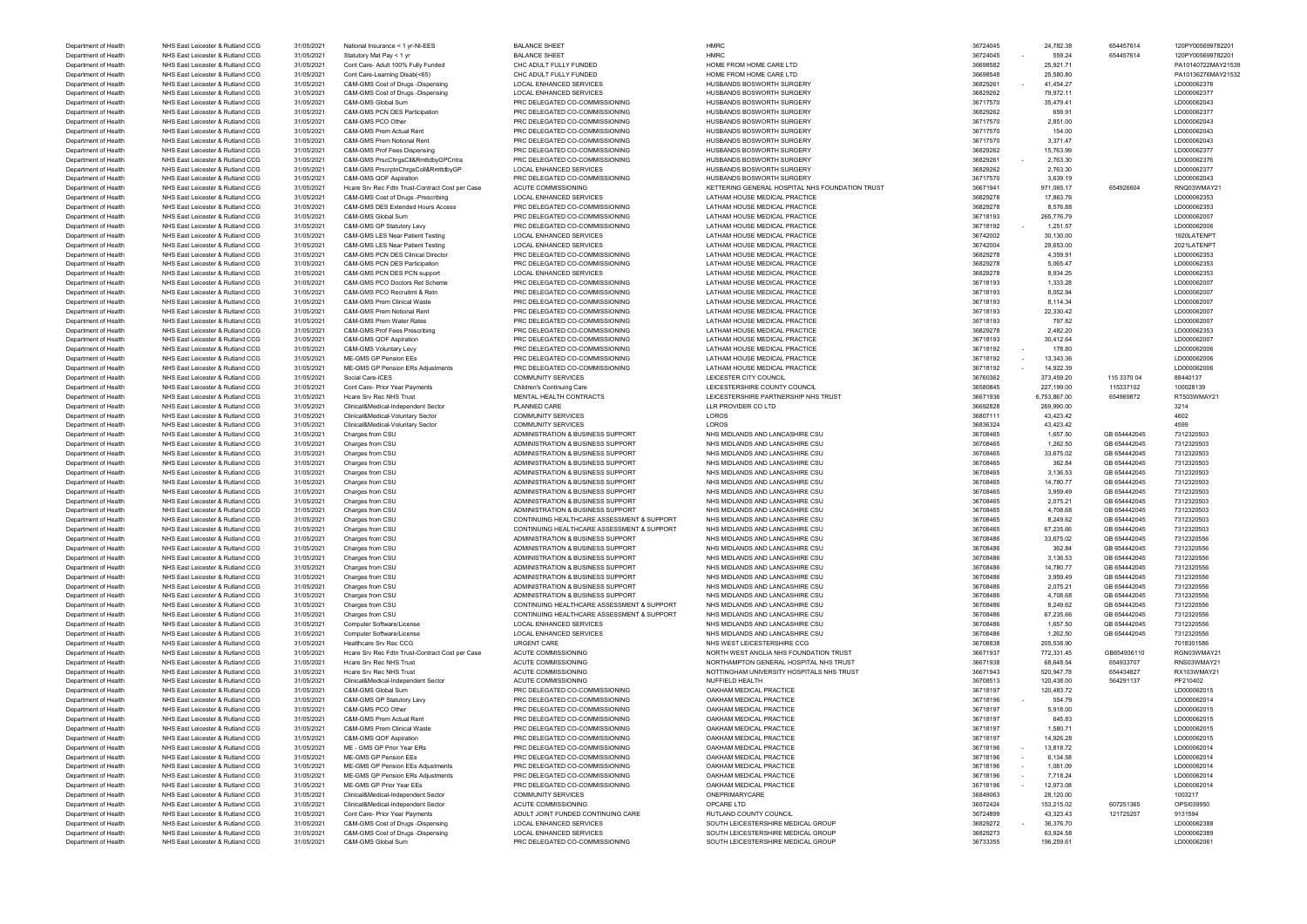| Department of Health | NHS East Leicester & Rutland CCG | 31/05/2021 | National Insurance < 1 yr-NI-EES                | <b>BALANCE SHEET</b>                       | HMRC                                            | 36724045                             | 24,782.38    | 654457614    | 120PY00569978220   |
|----------------------|----------------------------------|------------|-------------------------------------------------|--------------------------------------------|-------------------------------------------------|--------------------------------------|--------------|--------------|--------------------|
| Department of Health | NHS East Leicester & Rutland CCG | 31/05/2021 | Statutory Mat Pay < 1 yr                        | <b>BALANCE SHEET</b>                       | <b>HMRC</b>                                     | 36724045                             | 559.24       | 654457614    | 120PY005699782201  |
| Department of Health | NHS East Leicester & Rutland CCG | 31/05/2021 | Cont Care- Adult 100% Fully Funded              | CHC ADULT FULLY FUNDED                     | HOME FROM HOME CARE LTD                         | 36698582                             | 25,921.71    |              | PA10140722MAY21539 |
|                      | NHS East Leicester & Rutland CCG | 31/05/2021 | Cont Care-Learning Disab(<65)                   | CHC ADULT FULLY FUNDED                     | HOME FROM HOME CARE LTD                         | 36698548                             | 25,580.80    |              | PA10136276MAY21532 |
| Department of Health |                                  |            |                                                 |                                            |                                                 |                                      |              |              |                    |
| Department of Health | NHS East Leicester & Rutland CCG | 31/05/2021 | C&M-GMS Cost of Drugs -Dispensing               | LOCAL ENHANCED SERVICES                    | HUSBANDS BOSWORTH SURGERY                       | 36829261                             | 41,454.27    |              | LD000062376        |
| Department of Health | NHS East Leicester & Rutland CCG | 31/05/2021 | C&M-GMS Cost of Drugs -Dispensing               | <b>LOCAL ENHANCED SERVICES</b>             | HUSBANDS BOSWORTH SURGERY                       | 36829262                             | 79,972.11    |              | LD000062377        |
| Department of Health | NHS East Leicester & Rutland CCG | 31/05/2021 | C&M-GMS Global Sum                              | PRC DELEGATED CO-COMMISSIONING             | HUSBANDS BOSWORTH SURGERY                       | 36717570                             | 35,479.41    |              | LD000062043        |
| Department of Health | NHS East Leicester & Rutland CCG | 31/05/2021 | C&M-GMS PCN DES Participation                   | PRC DELEGATED CO-COMMISSIONING             | HUSBANDS BOSWORTH SURGERY                       | 36829262                             | 659.91       |              | LD000062377        |
| Department of Health | NHS East Leicester & Rutland CCG | 31/05/2021 | C&M-GMS PCO Other                               | PRC DELEGATED CO-COMMISSIONING             | HUSBANDS BOSWORTH SURGERY                       | 36717570                             | 2,851.00     |              | LD000062043        |
|                      | NHS East Leicester & Rutland CCG |            | C&M-GMS Prem Actual Rent                        | PRC DELEGATED CO-COMMISSIONING             | HUSBANDS BOSWORTH SURGERY                       |                                      | 154.00       |              | LD000062043        |
| Department of Health |                                  | 31/05/2021 |                                                 |                                            |                                                 | 36717570                             |              |              |                    |
| Department of Health | NHS East Leicester & Rutland CCG | 31/05/2021 | C&M-GMS Prem Notional Rent                      | PRC DELEGATED CO-COMMISSIONING             | HUSBANDS BOSWORTH SURGERY                       | 36717570                             | 3.371.47     |              | LD000062043        |
| Department of Health | NHS East Leicester & Rutland CCG | 31/05/2021 | C&M-GMS Prof Fees Dispensing                    | PRC DELEGATED CO-COMMISSIONING             | HUSBANDS BOSWORTH SURGERY                       | 36829262                             | 15,763.99    |              | LD000062377        |
| Department of Health | NHS East Leicester & Rutland CCG | 31/05/2021 | C&M-GMS PrscChrgsCll&RmttdbyGPCntra             | PRC DELEGATED CO-COMMISSIONING             | HUSBANDS BOSWORTH SURGERY                       | 36829261                             | 2,763.30     |              | LD000062376        |
| Department of Health | NHS East Leicester & Rutland CCG | 31/05/2021 | C&M-GMS PrscrptnChrgsColl&RmttdbyGP             | <b>LOCAL ENHANCED SERVICES</b>             | HUSBANDS BOSWORTH SURGERY                       | 36829262                             | 2,763.30     |              | LD000062377        |
|                      | NHS East Leicester & Rutland CCG |            | C&M-GMS QOF Aspiration                          |                                            |                                                 |                                      |              |              |                    |
| Department of Health |                                  | 31/05/2021 |                                                 | PRC DELEGATED CO-COMMISSIONING             | HUSBANDS BOSWORTH SURGERY                       | 36717570                             | 3,639.19     |              | LD000062043        |
| Department of Health | NHS East Leicester & Rutland CCG | 31/05/2021 | Hcare Srv Rec Fdtn Trust-Contract Cost per Case | <b>ACUTE COMMISSIONING</b>                 | KETTERING GENERAL HOSPITAL NHS FOUNDATION TRUST | 36671941                             | 971,065.17   | 654926604    | RNQ03WMAY21        |
| Department of Health | NHS East Leicester & Rutland CCG | 31/05/2021 | C&M-GMS Cost of Drugs -Prescribing              | <b>LOCAL ENHANCED SERVICES</b>             | LATHAM HOUSE MEDICAL PRACTICE                   | 36829278                             | 17,863.76    |              | LD000062353        |
| Department of Health | NHS East Leicester & Rutland CCG | 31/05/2021 | C&M-GMS DES Extended Hours Access               | PRC DELEGATED CO-COMMISSIONING             | LATHAM HOUSE MEDICAL PRACTICE                   | 36829278                             | 8,576.88     |              | LD000062353        |
| Department of Health | NHS East Leicester & Rutland CCG | 31/05/2021 | C&M-GMS Global Sum                              | PRC DELEGATED CO-COMMISSIONING             | LATHAM HOUSE MEDICAL PRACTICE                   | 36718193                             | 265,776.79   |              | LD000062007        |
|                      |                                  |            |                                                 |                                            |                                                 |                                      |              |              |                    |
| Department of Health | NHS East Leicester & Rutland CCG | 31/05/2021 | C&M-GMS GP Statutory Levy                       | PRC DELEGATED CO-COMMISSIONING             | LATHAM HOUSE MEDICAL PRACTICE                   | 36718192                             | 1,251.57     |              | LD000062006        |
| Department of Health | NHS East Leicester & Rutland CCG | 31/05/2021 | <b>C&amp;M-GMS LES Near Patient Testing</b>     | <b>LOCAL ENHANCED SERVICES</b>             | LATHAM HOUSE MEDICAL PRACTICE                   | 36742002                             | 30,130.00    |              | 1920LATENPT        |
| Department of Health | NHS East Leicester & Rutland CCG | 31/05/2021 | <b>C&amp;M-GMS LES Near Patient Testing</b>     | <b>LOCAL ENHANCED SERVICES</b>             | LATHAM HOUSE MEDICAL PRACTICE                   | 36742004                             | 29,653.00    |              | 2021LATENPT        |
| Department of Health | NHS East Leicester & Rutland CCG | 31/05/2021 | C&M-GMS PCN DES Clinical Director               | PRC DELEGATED CO-COMMISSIONING             | LATHAM HOUSE MEDICAL PRACTICE                   | 36829278                             | 4,359.91     |              | LD000062353        |
| Department of Health | NHS East Leicester & Rutland CCG | 31/05/2021 | C&M-GMS PCN DES Participation                   | PRC DELEGATED CO-COMMISSIONING             | LATHAM HOUSE MEDICAL PRACTICE                   | 36829278                             | 5,065.47     |              | LD000062353        |
|                      |                                  |            |                                                 |                                            |                                                 |                                      |              |              |                    |
| Department of Health | NHS East Leicester & Rutland CCG | 31/05/2021 | C&M-GMS PCN DES PCN support                     | LOCAL ENHANCED SERVICES                    | LATHAM HOUSE MEDICAL PRACTICE                   | 36829278                             | 8,934.25     |              | LD000062353        |
| Department of Health | NHS East Leicester & Rutland CCG | 31/05/2021 | C&M-GMS PCO Doctors Ret Scheme                  | PRC DELEGATED CO-COMMISSIONING             | LATHAM HOUSE MEDICAL PRACTICE                   | 36718193                             | 1,333.28     |              | LD000062007        |
| Department of Health | NHS East Leicester & Rutland CCG | 31/05/2021 | C&M-GMS PCO Recruitmt & Retr                    | PRC DELEGATED CO-COMMISSIONING             | LATHAM HOUSE MEDICAL PRACTICE                   | 36718193                             | 8,052.94     |              | LD000062007        |
| Department of Health | NHS East Leicester & Rutland CCG | 31/05/2021 | C&M-GMS Prem Clinical Waste                     | PRC DELEGATED CO-COMMISSIONING             | LATHAM HOUSE MEDICAL PRACTICE                   | 36718193                             | 8.114.34     |              | LD000062007        |
|                      | NHS East Leicester & Rutland CCG |            |                                                 |                                            | LATHAM HOUSE MEDICAL PRACTICE                   |                                      |              |              |                    |
| Department of Health |                                  | 31/05/2021 | C&M-GMS Prem Notional Rent                      | PRC DELEGATED CO-COMMISSIONING             |                                                 | 36718193                             | 22,330.42    |              | LD000062007        |
| Department of Health | NHS East Leicester & Rutland CCG | 31/05/2021 | C&M-GMS Prem Water Rates                        | PRC DELEGATED CO-COMMISSIONING             | LATHAM HOUSE MEDICAL PRACTICE                   | 36718193                             | 797.82       |              | LD000062007        |
| Department of Health | NHS East Leicester & Rutland CCG | 31/05/2021 | C&M-GMS Prof Fees Prescribing                   | PRC DELEGATED CO-COMMISSIONING             | LATHAM HOUSE MEDICAL PRACTICE                   | 36829278                             | 2,482.20     |              | LD000062353        |
| Department of Health | NHS East Leicester & Rutland CCG | 31/05/2021 | C&M-GMS QOF Aspiration                          | PRC DELEGATED CO-COMMISSIONING             | LATHAM HOUSE MEDICAL PRACTICE                   | 36718193                             | 30,412.64    |              | LD000062007        |
| Department of Health | NHS East Leicester & Rutland CCG | 31/05/2021 | C&M-GMS Voluntary Levy                          | PRC DELEGATED CO-COMMISSIONING             | LATHAM HOUSE MEDICAL PRACTICE                   | 36718192<br>$\overline{\phantom{a}}$ | 178.80       |              | LD000062006        |
|                      |                                  |            |                                                 |                                            |                                                 |                                      |              |              |                    |
| Department of Health | NHS East Leicester & Rutland CCG | 31/05/2021 | ME-GMS GP Pension EEs                           | PRC DELEGATED CO-COMMISSIONING             | LATHAM HOUSE MEDICAL PRACTICE                   | 36718192                             | 13,343.36    |              | LD000062006        |
| Department of Health | NHS East Leicester & Rutland CCG | 31/05/2021 | ME-GMS GP Pension ERs Adjustments               | PRC DELEGATED CO-COMMISSIONING             | LATHAM HOUSE MEDICAL PRACTICE                   | 36718192                             | 14,922.39    |              | LD000062006        |
| Department of Health | NHS East Leicester & Rutland CCG | 31/05/2021 | Social Care-ICES                                | <b>COMMUNITY SERVICES</b>                  | LEICESTER CITY COUNCIL                          | 36760362                             | 373,459.20   | 115 3370 04  | 88440137           |
| Department of Health | NHS East Leicester & Rutland CCG | 31/05/2021 | Cont Care- Prior Year Payments                  | Children's Continuing Care                 | LEICESTERSHIRE COUNTY COUNCIL                   | 36580845                             | 227,199.00   | 115337102    | 100028139          |
| Department of Health | NHS East Leicester & Rutland CCG | 31/05/2021 | Hcare Srv Rec NHS Trust                         | MENTAL HEALTH CONTRACTS                    | LEICESTERSHIRE PARTNERSHIP NHS TRUST            | 36671936                             | 6,753,867.00 | 654969872    | RT503WMAY21        |
|                      |                                  |            |                                                 |                                            |                                                 |                                      |              |              |                    |
| Department of Health | NHS East Leicester & Rutland CCG | 31/05/2021 | Clinical&Medical-Independent Sector             | PLANNED CARE                               | LLR PROVIDER CO LTD                             | 36692828                             | 269,990.00   |              | 3214               |
| Department of Health | NHS East Leicester & Rutland CCG | 31/05/2021 | Clinical&Medical-Voluntary Sector               | <b>COMMUNITY SERVICES</b>                  | <b>LOROS</b>                                    | 36807111                             | 43,423.42    |              | 4602               |
| Department of Health | NHS East Leicester & Rutland CCG | 31/05/2021 | Clinical&Medical-Voluntary Sector               | <b>COMMUNITY SERVICES</b>                  | LOROS                                           | 36836324                             | 43,423.42    |              | 4599               |
| Department of Health | NHS East Leicester & Rutland CCG | 31/05/2021 | Charges from CSU                                | ADMINISTRATION & BUSINESS SUPPORT          | NHS MIDLANDS AND LANCASHIRE CSU                 | 36708465                             | 1,657.50     | GB 654442045 | 7312320503         |
|                      | NHS East Leicester & Rutland CCG | 31/05/2021 | Charges from CSU                                | ADMINISTRATION & BUSINESS SUPPORT          | NHS MIDLANDS AND LANCASHIRE CSU                 | 36708465                             | 1,262.50     | GB 654442045 | 7312320503         |
| Department of Health |                                  |            |                                                 |                                            |                                                 |                                      |              |              |                    |
| Department of Health | NHS East Leicester & Rutland CCG | 31/05/2021 | Charges from CSU                                | ADMINISTRATION & BUSINESS SUPPORT          | NHS MIDLANDS AND LANCASHIRE CSU                 | 36708465                             | 33,675.02    | GB 654442045 | 7312320503         |
| Department of Health | NHS East Leicester & Rutland CCG | 31/05/2021 | Charges from CSU                                | ADMINISTRATION & BUSINESS SUPPORT          | NHS MIDLANDS AND LANCASHIRE CSU                 | 36708465                             | 362.84       | GB 654442045 | 7312320503         |
| Department of Health | NHS East Leicester & Rutland CCG | 31/05/2021 | Charges from CSU                                | ADMINISTRATION & BUSINESS SUPPORT          | NHS MIDLANDS AND LANCASHIRE CSU                 | 36708465                             | 3,136.53     | GB 654442045 | 7312320503         |
| Department of Health | NHS East Leicester & Rutland CCG | 31/05/2021 | Charges from CSU                                | ADMINISTRATION & BUSINESS SUPPORT          | NHS MIDLANDS AND LANCASHIRE CSU                 | 36708465                             | 14,780.77    | GB 654442045 | 7312320503         |
|                      |                                  |            |                                                 |                                            | NHS MIDLANDS AND LANCASHIRE CSU                 |                                      |              |              |                    |
| Department of Health | NHS East Leicester & Rutland CCG | 31/05/2021 | Charges from CSU                                | ADMINISTRATION & BUSINESS SUPPORT          |                                                 | 36708465                             | 3,959.49     | GB 654442045 | 7312320503         |
| Department of Health | NHS East Leicester & Rutland CCG | 31/05/2021 | Charges from CSU                                | ADMINISTRATION & BUSINESS SUPPORT          | NHS MIDLANDS AND LANCASHIRE CSU                 | 36708465                             | 2,075.21     | GB 654442045 | 7312320503         |
| Department of Health | NHS East Leicester & Rutland CCG | 31/05/2021 | Charges from CSU                                | ADMINISTRATION & BUSINESS SUPPORT          | NHS MIDLANDS AND LANCASHIRE CSU                 | 36708465                             | 4,708.68     | GB 654442045 | 7312320503         |
| Department of Health | NHS East Leicester & Rutland CCG | 31/05/2021 | Charges from CSU                                | CONTINUING HEALTHCARE ASSESSMENT & SUPPORT | NHS MIDLANDS AND LANCASHIRE CSU                 | 36708465                             | 8,249.62     | GB 654442045 | 7312320503         |
| Department of Health | NHS East Leicester & Rutland CCG | 31/05/2021 | Charges from CSU                                | CONTINUING HEALTHCARE ASSESSMENT & SUPPORT | NHS MIDLANDS AND LANCASHIRE CSU                 | 36708465                             | 67,235.66    | GB 654442045 | 7312320503         |
|                      |                                  |            |                                                 |                                            |                                                 |                                      |              |              |                    |
| Department of Health | NHS East Leicester & Rutland CCG | 31/05/2021 | Charges from CSU                                | ADMINISTRATION & BUSINESS SUPPORT          | NHS MIDLANDS AND LANCASHIRE CSU                 | 36708486                             | 33,675.02    | GB 654442045 | 7312320556         |
| Department of Health | NHS East Leicester & Rutland CCG | 31/05/2021 | Charges from CSU                                | ADMINISTRATION & BUSINESS SUPPORT          | NHS MIDLANDS AND LANCASHIRE CSU                 | 36708486                             | 362.84       | GB 654442045 | 7312320556         |
| Department of Health | NHS East Leicester & Rutland CCG | 31/05/2021 | Charges from CSU                                | ADMINISTRATION & BUSINESS SUPPORT          | NHS MIDLANDS AND LANCASHIRE CSU                 | 36708486                             | 3,136.53     | GB 654442045 | 7312320556         |
| Department of Health | NHS East Leicester & Rutland CCG | 31/05/2021 | Charges from CSU                                | ADMINISTRATION & BUSINESS SUPPORT          | NHS MIDLANDS AND LANCASHIRE CSU                 | 36708486                             | 14,780.77    | GB 654442045 | 7312320556         |
| Department of Health | NHS East Leicester & Rutland CCG | 31/05/2021 | Charges from CSU                                | ADMINISTRATION & BUSINESS SUPPORT          | NHS MIDLANDS AND LANCASHIRE CSU                 | 36708486                             | 3,959.49     | GB 654442045 | 7312320556         |
|                      |                                  |            |                                                 |                                            |                                                 |                                      |              |              |                    |
| Department of Health | NHS East Leicester & Rutland CCG | 31/05/2021 | Charges from CSU                                | ADMINISTRATION & BUSINESS SUPPORT          | NHS MIDLANDS AND LANCASHIRE CSU                 | 36708486                             | 2,075.21     | GB 654442045 | 7312320556         |
| Department of Health | NHS East Leicester & Rutland CCG | 31/05/2021 | Charges from CSU                                | ADMINISTRATION & BUSINESS SUPPORT          | NHS MIDLANDS AND LANCASHIRE CSU                 | 36708486                             | 4,708.68     | GB 654442045 | 7312320556         |
| Department of Health | NHS East Leicester & Rutland CCG | 31/05/2021 | Charges from CSU                                | CONTINUING HEALTHCARE ASSESSMENT & SUPPORT | NHS MIDLANDS AND LANCASHIRE CSU                 | 36708486                             | 8,249.62     | GB 654442045 | 7312320556         |
| Department of Health | NHS East Leicester & Rutland CCG | 31/05/2021 | Charges from CSU                                | CONTINUING HEALTHCARE ASSESSMENT & SUPPORT | NHS MIDLANDS AND LANCASHIRE CSU                 | 36708486                             | 67,235.66    | GB 654442045 | 7312320556         |
| Department of Health | NHS East Leicester & Rutland CCG | 31/05/2021 | Computer Software/License                       | <b>LOCAL ENHANCED SERVICES</b>             | NHS MIDLANDS AND LANCASHIRE CSU                 | 36708486                             | 1,657.50     | GB 654442045 | 7312320556         |
|                      |                                  |            |                                                 |                                            |                                                 |                                      |              |              |                    |
| Department of Health | NHS East Leicester & Rutland CCG | 31/05/2021 | Computer Software/License                       | LOCAL ENHANCED SERVICES                    | NHS MIDLANDS AND LANCASHIRE CSU                 | 36708486                             | 1,262.50     | GB 654442045 | 7312320556         |
| Department of Health | NHS East Leicester & Rutland CCG | 31/05/2021 | Healthcare Srv Rec CCG                          | <b>URGENT CARE</b>                         | NHS WEST LEICESTERSHIRE CCG                     | 36708838                             | 205,538.90   |              | 7018301586         |
| Department of Health | NHS East Leicester & Rutland CCG | 31/05/2021 | Hoare Srv Rec Fdtn Trust-Contract Cost per Case | <b>ACUTE COMMISSIONING</b>                 | NORTH WEST ANGLIA NHS FOUNDATION TRUST          | 36671937                             | 772,331.45   | GB654936110  | RGN03WMAY21        |
| Department of Health | NHS East Leicester & Rutland CCG | 31/05/2021 | Hoare Srv Rec NHS Trust                         | ACUTE COMMISSIONING                        | NORTHAMPTON GENERAL HOSPITAL NHS TRUST          | 36671938                             | 68,648.54    | 654933707    | RNS03WMAY21        |
| Department of Health | NHS East Leicester & Rutland CCG | 31/05/2021 | Hcare Srv Rec NHS Trust                         | ACUTE COMMISSIONING                        | NOTTINGHAM UNIVERSITY HOSPITALS NHS TRUST       | 36671943                             | 520,947.78   | 654434827    | RX103WMAY21        |
|                      |                                  |            |                                                 |                                            |                                                 |                                      |              |              |                    |
| Department of Health | NHS East Leicester & Rutland CCG | 31/05/2021 | Clinical&Medical-Independent Sector             | <b>ACUTE COMMISSIONING</b>                 | NUFFIELD HEALTH                                 | 36708513                             | 120,438.00   | 564291137    | PF210402           |
| Department of Health | NHS East Leicester & Rutland CCG | 31/05/2021 | C&M-GMS Global Sum                              | PRC DELEGATED CO-COMMISSIONING             | OAKHAM MEDICAL PRACTICE                         | 36718197                             | 120,483.72   |              | LD000062015        |
| Department of Health | NHS East Leicester & Rutland CCG | 31/05/2021 | C&M-GMS GP Statutory Levy                       | PRC DELEGATED CO-COMMISSIONING             | OAKHAM MEDICAL PRACTICE                         | 36718196                             | 554.79       |              | LD000062014        |
| Department of Health | NHS East Leicester & Rutland CCG | 31/05/2021 | C&M-GMS PCO Other                               | PRC DELEGATED CO-COMMISSIONING             | OAKHAM MEDICAL PRACTICE                         | 36718197                             | 5,918.00     |              | LD000062015        |
|                      |                                  |            |                                                 |                                            |                                                 |                                      |              |              |                    |
| Department of Health | NHS East Leicester & Rutland CCG | 31/05/2021 | C&M-GMS Prem Actual Rent                        | PRC DELEGATED CO-COMMISSIONING             | OAKHAM MEDICAL PRACTICE                         | 36718197                             | 645.83       |              | LD000062015        |
| Department of Health | NHS East Leicester & Rutland CCG | 31/05/2021 | <b>C&amp;M-GMS Prem Clinical Waste</b>          | PRC DELEGATED CO-COMMISSIONING             | OAKHAM MEDICAL PRACTICE                         | 36718197                             | 1,580.71     |              | LD000062015        |
| Department of Health | NHS East Leicester & Rutland CCG | 31/05/2021 | C&M-GMS QOF Aspiration                          | PRC DELEGATED CO-COMMISSIONING             | OAKHAM MEDICAL PRACTICE                         | 36718197                             | 14,926.28    |              | LD000062015        |
| Department of Health | NHS East Leicester & Rutland CCG | 31/05/2021 | ME - GMS GP Prior Year ERs                      | PRC DELEGATED CO-COMMISSIONING             | OAKHAM MEDICAL PRACTICE                         | 36718196<br>$\sim$                   | 13,818.72    |              | LD000062014        |
| Department of Health | NHS East Leicester & Rutland CCG | 31/05/2021 | ME-GMS GP Pension EEs                           | PRC DELEGATED CO-COMMISSIONING             | OAKHAM MEDICAL PRACTICE                         | 36718196                             | 6,134.58     |              | LD000062014        |
|                      |                                  |            |                                                 |                                            |                                                 |                                      |              |              |                    |
| Department of Health | NHS East Leicester & Rutland CCG | 31/05/2021 | ME-GMS GP Pension EEs Adjustments               | PRC DELEGATED CO-COMMISSIONING             | OAKHAM MEDICAL PRACTICE                         | 36718196<br>$\sim$                   | 1,081.09     |              | LD000062014        |
| Department of Health | NHS East Leicester & Rutland CCG | 31/05/2021 | <b>ME-GMS GP Pension ERs Adjustments</b>        | PRC DELEGATED CO-COMMISSIONING             | OAKHAM MEDICAL PRACTICE                         | 36718196                             | 7,718.24     |              | LD000062014        |
| Department of Health | NHS East Leicester & Rutland CCG | 31/05/2021 | ME-GMS GP Prior Year EEs                        | PRC DELEGATED CO-COMMISSIONING             | OAKHAM MEDICAL PRACTICE                         | 36718196                             | 12,973.08    |              | LD000062014        |
| Department of Health | NHS East Leicester & Rutland CCG | 31/05/2021 | Clinical&Medical-Independent Sector             | <b>COMMUNITY SERVICES</b>                  | ONEPRIMARYCARE                                  | 36849063                             | 28,120.00    |              | 1003217            |
|                      |                                  |            |                                                 | <b>ACUTE COMMISSIONING</b>                 | OPCARE LTD                                      |                                      |              |              |                    |
| Department of Health | NHS East Leicester & Rutland CCG | 31/05/2021 | Clinical&Medical-Independent Sector             |                                            |                                                 | 36572424                             | 153,215.02   | 607251365    | OPSI039950         |
| Department of Health | NHS East Leicester & Rutland CCG | 31/05/2021 | Cont Care- Prior Year Payments                  | ADULT JOINT FUNDED CONTINUING CARE         | RUTLAND COUNTY COUNCIL                          | 36724899                             | 43,323.43    | 121725207    | 9131594            |
| Department of Health | NHS East Leicester & Rutland CCG | 31/05/2021 | C&M-GMS Cost of Drugs -Dispensing               | <b>LOCAL ENHANCED SERVICES</b>             | SOUTH LEICESTERSHIRE MEDICAL GROUP              | 36829272                             | 36,376.70    |              | LD000062388        |
| Department of Health | NHS East Leicester & Rutland CCG | 31/05/2021 | C&M-GMS Cost of Drugs -Dispensing               | LOCAL ENHANCED SERVICES                    | SOUTH LEICESTERSHIRE MEDICAL GROUP              | 36829273                             | 63,924.58    |              | LD000062389        |
| Department of Health | NHS East Leicester & Rutland CCG | 31/05/2021 | C&M-GMS Global Sum                              | PRC DELEGATED CO-COMMISSIONING             | SOUTH LEICESTERSHIRE MEDICAL GROUP              | 36733355                             | 196,259.61   |              | LD000062061        |
|                      |                                  |            |                                                 |                                            |                                                 |                                      |              |              |                    |